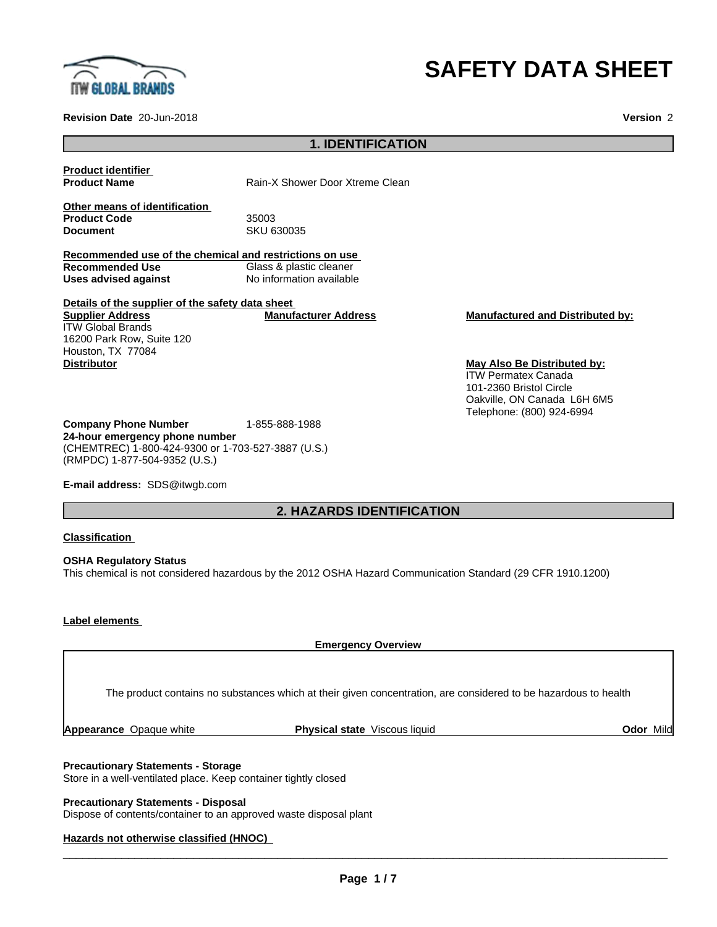

# **SAFETY DATA SHEET**

**Revision Date** 20-Jun-2018 **Version** 2

# **1. IDENTIFICATION**

**Product identifier**

**Product Name** Rain-X Shower Door Xtreme Clean

**Other means of identification Product Code** 35003<br> **Document** SKU 6

**Document** SKU 630035

**Recommended use of the chemical and restrictions on use Recommended Use** Glass & plastic cleaner<br> **Uses advised against** No information available **No information available** 

**Details of the supplier of the safety data sheet Supplier Address** ITW Global Brands 16200 Park Row, Suite 120 Houston, TX 77084 **Distributor May Also Be Distributed by:**

**Company Phone Number** 1-855-888-1988 **24-hour emergency phone number** (CHEMTREC) 1-800-424-9300 or 1-703-527-3887 (U.S.) (RMPDC) 1-877-504-9352 (U.S.)

**E-mail address:** SDS@itwgb.com

# **2. HAZARDS IDENTIFICATION**

#### **Classification**

**OSHA Regulatory Status** This chemical is not considered hazardous by the 2012 OSHA Hazard Communication Standard (29 CFR 1910.1200)

#### **Label elements**

**Emergency Overview** The product contains no substances which at their given concentration, are considered to be hazardous to health

**Appearance** Opaque white **Physical state** Viscous liquid **Odor** Mild

#### **Precautionary Statements - Storage**

Store in a well-ventilated place. Keep container tightly closed

**Precautionary Statements - Disposal** Dispose of contents/container to an approved waste disposal plant

# **Hazards not otherwise classified (HNOC)**

 $\overline{\phantom{a}}$  ,  $\overline{\phantom{a}}$  ,  $\overline{\phantom{a}}$  ,  $\overline{\phantom{a}}$  ,  $\overline{\phantom{a}}$  ,  $\overline{\phantom{a}}$  ,  $\overline{\phantom{a}}$  ,  $\overline{\phantom{a}}$  ,  $\overline{\phantom{a}}$  ,  $\overline{\phantom{a}}$  ,  $\overline{\phantom{a}}$  ,  $\overline{\phantom{a}}$  ,  $\overline{\phantom{a}}$  ,  $\overline{\phantom{a}}$  ,  $\overline{\phantom{a}}$  ,  $\overline{\phantom{a}}$ 

ITW Permatex Canada 101-2360 Bristol Circle Oakville, ON Canada L6H 6M5 Telephone: (800) 924-6994

# **Manufacturer Address Manufactured and Distributed by:**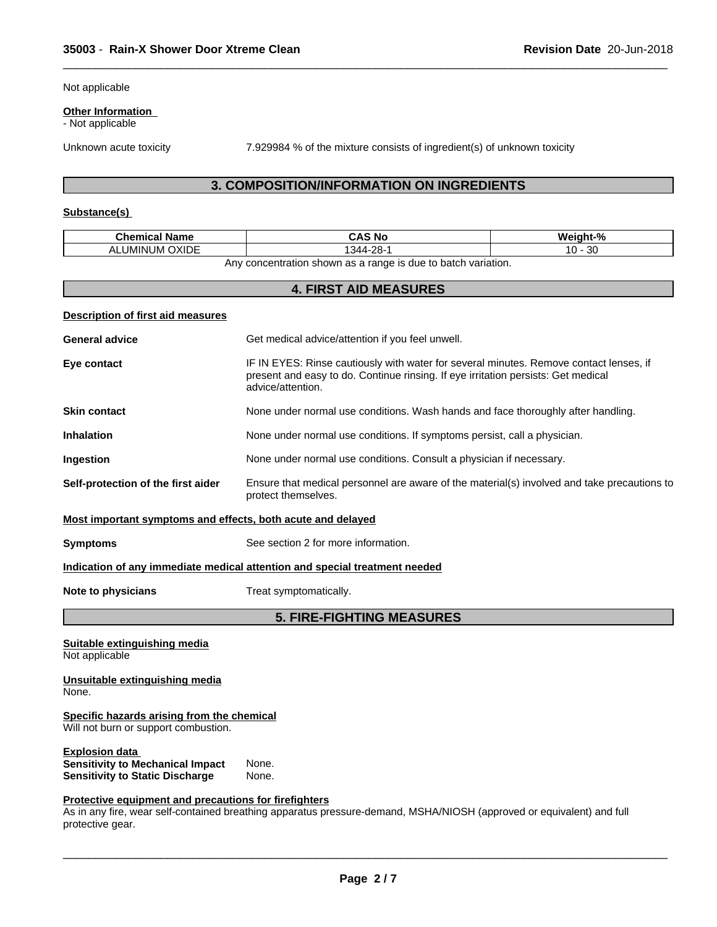Not applicable

#### **Other Information**

- Not applicable

Unknown acute toxicity 7.929984 % of the mixture consists of ingredient(s) of unknown toxicity

 $\overline{\phantom{a}}$  ,  $\overline{\phantom{a}}$  ,  $\overline{\phantom{a}}$  ,  $\overline{\phantom{a}}$  ,  $\overline{\phantom{a}}$  ,  $\overline{\phantom{a}}$  ,  $\overline{\phantom{a}}$  ,  $\overline{\phantom{a}}$  ,  $\overline{\phantom{a}}$  ,  $\overline{\phantom{a}}$  ,  $\overline{\phantom{a}}$  ,  $\overline{\phantom{a}}$  ,  $\overline{\phantom{a}}$  ,  $\overline{\phantom{a}}$  ,  $\overline{\phantom{a}}$  ,  $\overline{\phantom{a}}$ 

# **3. COMPOSITION/INFORMATION ON INGREDIENTS**

# **Substance(s)**

| <b>Chemical Name</b>                                                               | <b>CAS No</b>                                                                                                                                                                                    | Weight-%  |
|------------------------------------------------------------------------------------|--------------------------------------------------------------------------------------------------------------------------------------------------------------------------------------------------|-----------|
| <b>ALUMINUM OXIDE</b>                                                              | 1344-28-1                                                                                                                                                                                        | $10 - 30$ |
|                                                                                    | Any concentration shown as a range is due to batch variation.                                                                                                                                    |           |
|                                                                                    | <b>4. FIRST AID MEASURES</b>                                                                                                                                                                     |           |
| Description of first aid measures                                                  |                                                                                                                                                                                                  |           |
| <b>General advice</b>                                                              | Get medical advice/attention if you feel unwell.                                                                                                                                                 |           |
| Eye contact                                                                        | IF IN EYES: Rinse cautiously with water for several minutes. Remove contact lenses, if<br>present and easy to do. Continue rinsing. If eye irritation persists: Get medical<br>advice/attention. |           |
| <b>Skin contact</b>                                                                | None under normal use conditions. Wash hands and face thoroughly after handling.                                                                                                                 |           |
| <b>Inhalation</b>                                                                  | None under normal use conditions. If symptoms persist, call a physician.                                                                                                                         |           |
| Ingestion                                                                          | None under normal use conditions. Consult a physician if necessary.                                                                                                                              |           |
| Self-protection of the first aider                                                 | Ensure that medical personnel are aware of the material(s) involved and take precautions to<br>protect themselves.                                                                               |           |
| Most important symptoms and effects, both acute and delayed                        |                                                                                                                                                                                                  |           |
| <b>Symptoms</b>                                                                    | See section 2 for more information.                                                                                                                                                              |           |
|                                                                                    | Indication of any immediate medical attention and special treatment needed                                                                                                                       |           |
| Note to physicians                                                                 | Treat symptomatically.                                                                                                                                                                           |           |
|                                                                                    | <b>5. FIRE-FIGHTING MEASURES</b>                                                                                                                                                                 |           |
| Suitable extinguishing media<br>Not applicable                                     |                                                                                                                                                                                                  |           |
| Unsuitable extinguishing media<br>None.                                            |                                                                                                                                                                                                  |           |
| Specific hazards arising from the chemical<br>Will not hurn or support combustion. |                                                                                                                                                                                                  |           |

Will not burn or support combustion.

**Explosion data**<br>**Sensitivity to Mechanical Impact** None. **Sensitivity to Mechanical Impact Sensitivity to Static Discharge** None.

# **Protective equipment and precautions for firefighters**

As in any fire, wear self-contained breathing apparatus pressure-demand, MSHA/NIOSH (approved or equivalent) and full protective gear.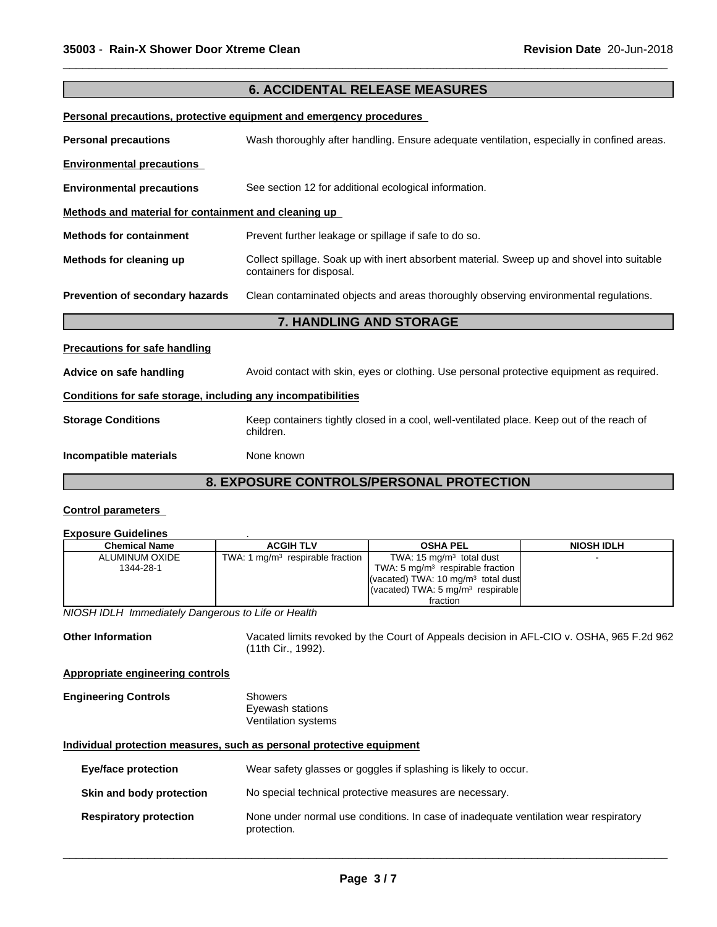|                                                              | <b>6. ACCIDENTAL RELEASE MEASURES</b>                                                                                  |
|--------------------------------------------------------------|------------------------------------------------------------------------------------------------------------------------|
|                                                              | Personal precautions, protective equipment and emergency procedures                                                    |
| <b>Personal precautions</b>                                  | Wash thoroughly after handling. Ensure adequate ventilation, especially in confined areas.                             |
| <b>Environmental precautions</b>                             |                                                                                                                        |
| <b>Environmental precautions</b>                             | See section 12 for additional ecological information.                                                                  |
| Methods and material for containment and cleaning up         |                                                                                                                        |
| <b>Methods for containment</b>                               | Prevent further leakage or spillage if safe to do so.                                                                  |
| Methods for cleaning up                                      | Collect spillage. Soak up with inert absorbent material. Sweep up and shovel into suitable<br>containers for disposal. |
| Prevention of secondary hazards                              | Clean contaminated objects and areas thoroughly observing environmental regulations.                                   |
|                                                              | 7. HANDLING AND STORAGE                                                                                                |
| <b>Precautions for safe handling</b>                         |                                                                                                                        |
| Advice on safe handling                                      | Avoid contact with skin, eyes or clothing. Use personal protective equipment as required.                              |
| Conditions for safe storage, including any incompatibilities |                                                                                                                        |
| <b>Storage Conditions</b>                                    | Keep containers tightly closed in a cool, well-ventilated place. Keep out of the reach of<br>children.                 |
| Incompatible materials                                       | None known                                                                                                             |
|                                                              | 8. EXPOSURE CONTROLS/PERSONAL PROTECTION                                                                               |

 $\overline{\phantom{a}}$  ,  $\overline{\phantom{a}}$  ,  $\overline{\phantom{a}}$  ,  $\overline{\phantom{a}}$  ,  $\overline{\phantom{a}}$  ,  $\overline{\phantom{a}}$  ,  $\overline{\phantom{a}}$  ,  $\overline{\phantom{a}}$  ,  $\overline{\phantom{a}}$  ,  $\overline{\phantom{a}}$  ,  $\overline{\phantom{a}}$  ,  $\overline{\phantom{a}}$  ,  $\overline{\phantom{a}}$  ,  $\overline{\phantom{a}}$  ,  $\overline{\phantom{a}}$  ,  $\overline{\phantom{a}}$ 

#### **Control parameters**

# **Exposure Guidelines** .

| Chemical Name  | <b>ACGIH TLV</b>                   | <b>OSHA PEL</b>                                         | <b>NIOSH IDLH</b> |
|----------------|------------------------------------|---------------------------------------------------------|-------------------|
| ALUMINUM OXIDE | TWA: 1 $mg/m3$ respirable fraction | TWA: $15 \text{ mg/m}^3$ total dust                     |                   |
| 1344-28-1      |                                    | TWA: 5 $mq/m3$ respirable fraction                      |                   |
|                |                                    | (vacated) TWA: 10 $mq/m3$ total dust                    |                   |
|                |                                    | $\sqrt{(vacated) TWA}$ : 5 mg/m <sup>3</sup> respirable |                   |
|                |                                    | fraction                                                |                   |

*NIOSH IDLH Immediately Dangerous to Life or Health*

Other Information **Vacated limits revoked by the Court of Appeals decision in AFL-CIO v. OSHA, 965 F.2d 962** (11th Cir., 1992).

# **Appropriate engineering controls**

#### **Engineering Controls** Showers Eyewash stations Ventilation systems

#### **Individual protection measures, such as personal protective equipment**

| Eye/face protection           | Wear safety glasses or goggles if splashing is likely to occur.                                     |  |
|-------------------------------|-----------------------------------------------------------------------------------------------------|--|
| Skin and body protection      | No special technical protective measures are necessary.                                             |  |
| <b>Respiratory protection</b> | None under normal use conditions. In case of inadequate ventilation wear respiratory<br>protection. |  |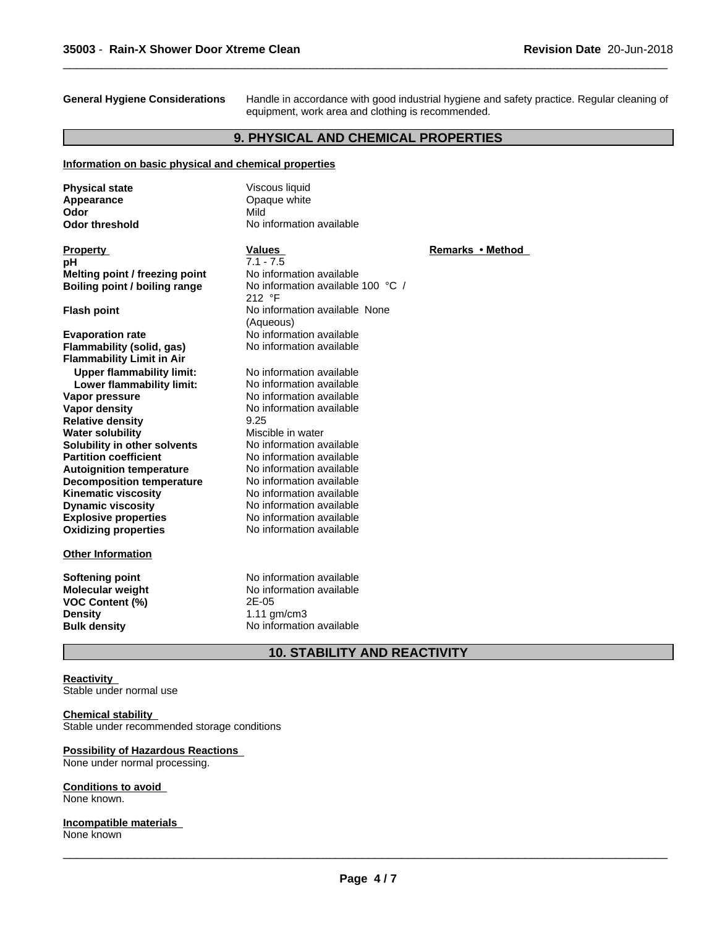**General Hygiene Considerations** Handle in accordance with good industrial hygiene and safety practice. Regular cleaning of equipment, work area and clothing is recommended.

 $\overline{\phantom{a}}$  ,  $\overline{\phantom{a}}$  ,  $\overline{\phantom{a}}$  ,  $\overline{\phantom{a}}$  ,  $\overline{\phantom{a}}$  ,  $\overline{\phantom{a}}$  ,  $\overline{\phantom{a}}$  ,  $\overline{\phantom{a}}$  ,  $\overline{\phantom{a}}$  ,  $\overline{\phantom{a}}$  ,  $\overline{\phantom{a}}$  ,  $\overline{\phantom{a}}$  ,  $\overline{\phantom{a}}$  ,  $\overline{\phantom{a}}$  ,  $\overline{\phantom{a}}$  ,  $\overline{\phantom{a}}$ 

# **9. PHYSICAL AND CHEMICAL PROPERTIES**

#### **Information on basic physical and chemical properties**

| <b>Physical state</b>                                         | Viscous liquid                              |                  |
|---------------------------------------------------------------|---------------------------------------------|------------------|
| Appearance                                                    | Opaque white                                |                  |
| Odor                                                          | Mild                                        |                  |
| <b>Odor threshold</b>                                         | No information available                    |                  |
| <b>Property</b>                                               | <b>Values</b>                               | Remarks • Method |
| рH                                                            | $7.1 - 7.5$                                 |                  |
| Melting point / freezing point                                | No information available                    |                  |
| Boiling point / boiling range                                 | No information available 100 °C /<br>212 °F |                  |
| <b>Flash point</b>                                            | No information available None<br>(Aqueous)  |                  |
| <b>Evaporation rate</b>                                       | No information available                    |                  |
| Flammability (solid, gas)<br><b>Flammability Limit in Air</b> | No information available                    |                  |
| <b>Upper flammability limit:</b>                              | No information available                    |                  |
| Lower flammability limit:                                     | No information available                    |                  |
| Vapor pressure                                                | No information available                    |                  |
| <b>Vapor density</b>                                          | No information available                    |                  |
| <b>Relative density</b>                                       | 9.25                                        |                  |
| <b>Water solubility</b>                                       | Miscible in water                           |                  |
| Solubility in other solvents                                  | No information available                    |                  |
| <b>Partition coefficient</b>                                  | No information available                    |                  |
| <b>Autoignition temperature</b>                               | No information available                    |                  |
| <b>Decomposition temperature</b>                              | No information available                    |                  |
| <b>Kinematic viscosity</b>                                    | No information available                    |                  |
| <b>Dynamic viscosity</b>                                      | No information available                    |                  |
| <b>Explosive properties</b>                                   | No information available                    |                  |
| <b>Oxidizing properties</b>                                   | No information available                    |                  |
| <b>Other Information</b>                                      |                                             |                  |
| <b>Softening point</b>                                        | No information available                    |                  |
| <b>Molecular weight</b>                                       | No information available                    |                  |
| VOC Content (%)                                               | 2E-05                                       |                  |
| <b>Density</b>                                                | $1.11$ gm/cm3                               |                  |
| <b>Bulk density</b>                                           | No information available                    |                  |

# **10. STABILITY AND REACTIVITY**

### **Reactivity**

Stable under normal use

# **Chemical stability**

Stable under recommended storage conditions

#### **Possibility of Hazardous Reactions**

None under normal processing.

#### **Conditions to avoid**

None known.

#### **Incompatible materials** None known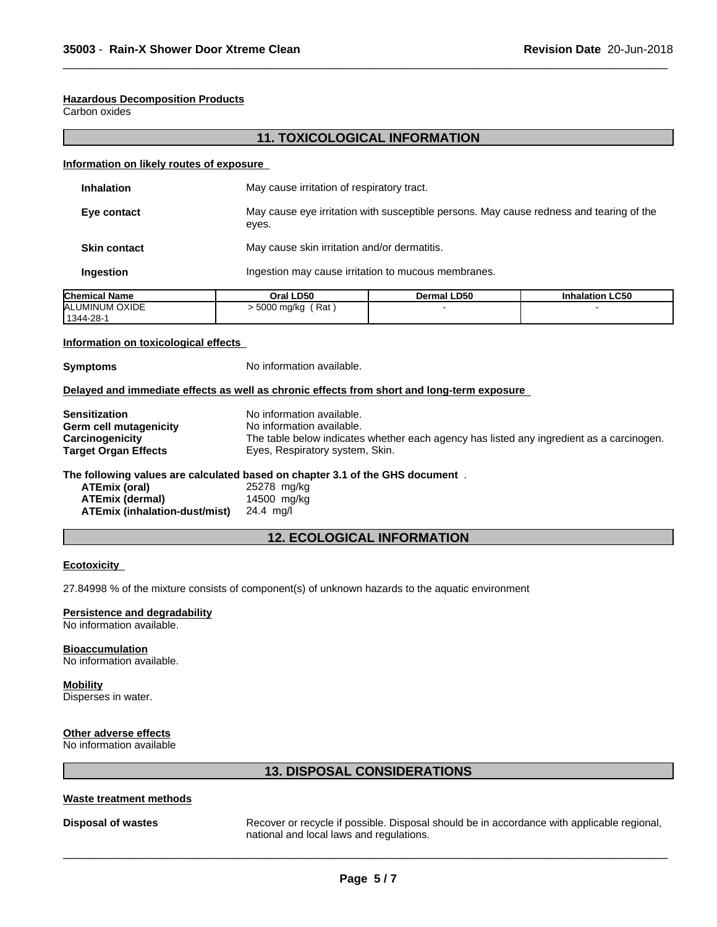#### **Hazardous Decomposition Products**

Carbon oxides

# **11. TOXICOLOGICAL INFORMATION**

 $\overline{\phantom{a}}$  ,  $\overline{\phantom{a}}$  ,  $\overline{\phantom{a}}$  ,  $\overline{\phantom{a}}$  ,  $\overline{\phantom{a}}$  ,  $\overline{\phantom{a}}$  ,  $\overline{\phantom{a}}$  ,  $\overline{\phantom{a}}$  ,  $\overline{\phantom{a}}$  ,  $\overline{\phantom{a}}$  ,  $\overline{\phantom{a}}$  ,  $\overline{\phantom{a}}$  ,  $\overline{\phantom{a}}$  ,  $\overline{\phantom{a}}$  ,  $\overline{\phantom{a}}$  ,  $\overline{\phantom{a}}$ 

#### **Information on likely routes of exposure**

| <b>Inhalation</b>   | May cause irritation of respiratory tract.                                                       |
|---------------------|--------------------------------------------------------------------------------------------------|
| Eye contact         | May cause eye irritation with susceptible persons. May cause redness and tearing of the<br>eyes. |
| <b>Skin contact</b> | May cause skin irritation and/or dermatitis.                                                     |
| Ingestion           | Ingestion may cause irritation to mucous membranes.                                              |

| <b>Chemical Name</b> | Oral LD50                | <b>Dermal LD50</b> | <b>Inhalation LC50</b> |
|----------------------|--------------------------|--------------------|------------------------|
| ALUMINUM OXIDE       | Rat<br>5000 mg/kg<br>. . |                    |                        |
| 1344-28-1            |                          |                    |                        |

#### **Information on toxicological effects**

**Symptoms** No information available.

### **Delayed and immediate effects as well as chronic effects from short and long-term exposure**

| <b>Sensitization</b>        | No information available.                                                                |
|-----------------------------|------------------------------------------------------------------------------------------|
| Germ cell mutagenicity      | No information available.                                                                |
| Carcinogenicity             | The table below indicates whether each agency has listed any ingredient as a carcinogen. |
| <b>Target Organ Effects</b> | Eyes, Respiratory system, Skin.                                                          |
|                             |                                                                                          |

#### **The following values are calculated based on chapter 3.1 of the GHS document** .

| ATEmix (oral)                 | 25278 mg/kg |
|-------------------------------|-------------|
| ATEmix (dermal)               | 14500 mg/kg |
| ATEmix (inhalation-dust/mist) | 24.4 ma/l   |

# **12. ECOLOGICAL INFORMATION**

#### **Ecotoxicity**

27.84998 % of the mixture consists of component(s) of unknown hazards to the aquatic environment

#### **Persistence and degradability**

No information available.

#### **Bioaccumulation**

No information available.

#### **Mobility**

Disperses in water.

# **Other adverse effects**

No information available

# **13. DISPOSAL CONSIDERATIONS**

#### **Waste treatment methods**

**Disposal of wastes** Recover or recycle if possible. Disposal should be in accordance with applicable regional, national and local laws and regulations.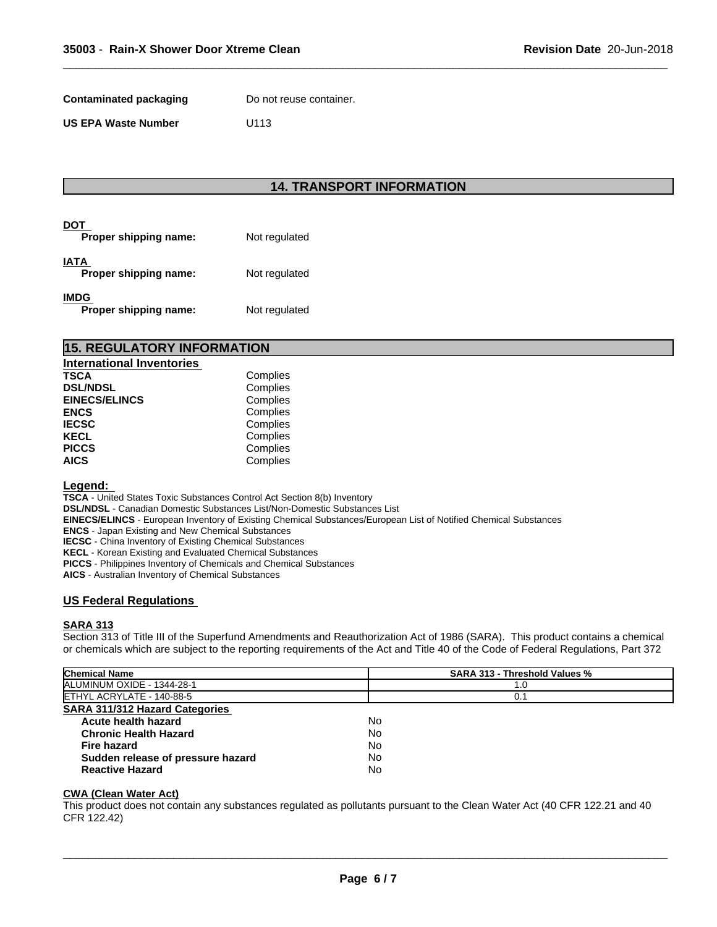**Contaminated packaging** Do not reuse container.

**US EPA Waste Number** U113

# **14. TRANSPORT INFORMATION**

 $\overline{\phantom{a}}$  ,  $\overline{\phantom{a}}$  ,  $\overline{\phantom{a}}$  ,  $\overline{\phantom{a}}$  ,  $\overline{\phantom{a}}$  ,  $\overline{\phantom{a}}$  ,  $\overline{\phantom{a}}$  ,  $\overline{\phantom{a}}$  ,  $\overline{\phantom{a}}$  ,  $\overline{\phantom{a}}$  ,  $\overline{\phantom{a}}$  ,  $\overline{\phantom{a}}$  ,  $\overline{\phantom{a}}$  ,  $\overline{\phantom{a}}$  ,  $\overline{\phantom{a}}$  ,  $\overline{\phantom{a}}$ 

| DOT<br>Proper shipping name:         | Not regulated |
|--------------------------------------|---------------|
| <b>IATA</b><br>Proper shipping name: | Not regulated |
| <b>IMDG</b><br>Proper shipping name: | Not regulated |

| <b>15. REGULATORY INFORMATION</b> |          |  |  |
|-----------------------------------|----------|--|--|
| International Inventories         |          |  |  |
| <b>TSCA</b>                       | Complies |  |  |
| <b>DSL/NDSL</b>                   | Complies |  |  |
| <b>EINECS/ELINCS</b>              | Complies |  |  |
| <b>ENCS</b>                       | Complies |  |  |

| ENCS.        | Complies |  |
|--------------|----------|--|
| <b>IECSC</b> | Complies |  |
| KECL         | Complies |  |
| PICCS        | Complies |  |
| AICS         | Complies |  |
|              |          |  |

# **Legend:**

**TSCA** - United States Toxic Substances Control Act Section 8(b) Inventory

**DSL/NDSL** - Canadian Domestic Substances List/Non-Domestic Substances List

**EINECS/ELINCS** - European Inventory of Existing Chemical Substances/European List of Notified Chemical Substances

**ENCS** - Japan Existing and New Chemical Substances

**IECSC** - China Inventory of Existing Chemical Substances

**KECL** - Korean Existing and Evaluated Chemical Substances

**PICCS** - Philippines Inventory of Chemicals and Chemical Substances

**AICS** - Australian Inventory of Chemical Substances

# **US Federal Regulations**

#### **SARA 313**

Section 313 of Title III of the Superfund Amendments and Reauthorization Act of 1986 (SARA). This product contains a chemical or chemicals which are subject to the reporting requirements of the Act and Title 40 of the Code of Federal Regulations, Part 372

| <b>Chemical Name</b>                  | <b>SARA 313 - Threshold Values %</b> |  |
|---------------------------------------|--------------------------------------|--|
| ALUMINUM OXIDE - 1344-28-1            | 1.0                                  |  |
| ETHYL ACRYLATE - 140-88-5             |                                      |  |
| <b>SARA 311/312 Hazard Categories</b> |                                      |  |
| Acute health hazard                   | No                                   |  |
| <b>Chronic Health Hazard</b>          | No                                   |  |
| Fire hazard                           | No                                   |  |
| Sudden release of pressure hazard     | No                                   |  |
| <b>Reactive Hazard</b>                | No                                   |  |
|                                       |                                      |  |

### **CWA (Clean WaterAct)**

This product does not contain any substances regulated as pollutants pursuant to the Clean Water Act (40 CFR 122.21 and 40 CFR 122.42)